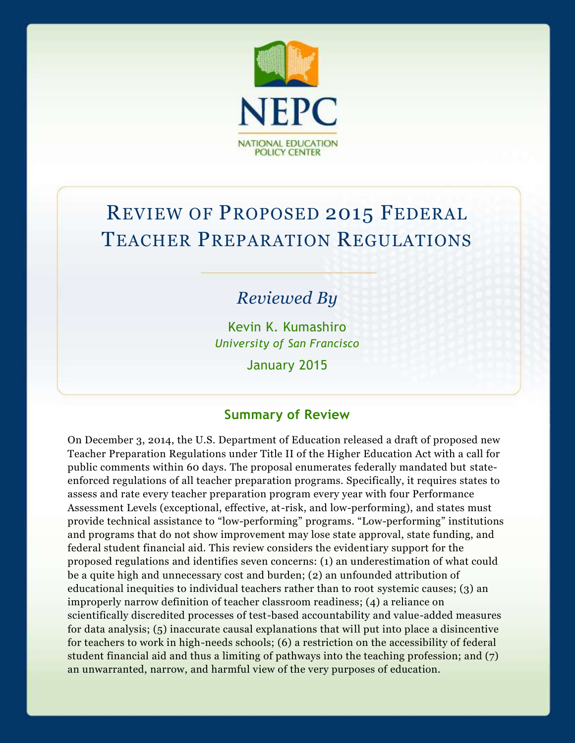

# REVIEW OF PROPOSED 2015 FEDERAL TEACHER PREPARATION REGULATIONS

## *Reviewed By*

Kevin K. Kumashiro *University of San Francisco*

January 2015

## **Summary of Review**

On December 3, 2014, the U.S. Department of Education released a draft of proposed new Teacher Preparation Regulations under Title II of the Higher Education Act with a call for public comments within 60 days. The proposal enumerates federally mandated but stateenforced regulations of all teacher preparation programs. Specifically, it requires states to assess and rate every teacher preparation program every year with four Performance Assessment Levels (exceptional, effective, at-risk, and low-performing), and states must provide technical assistance to "low-performing" programs. "Low-performing" institutions and programs that do not show improvement may lose state approval, state funding, and federal student financial aid. This review considers the evidentiary support for the proposed regulations and identifies seven concerns: (1) an underestimation of what could be a quite high and unnecessary cost and burden; (2) an unfounded attribution of educational inequities to individual teachers rather than to root systemic causes; (3) an improperly narrow definition of teacher classroom readiness; (4) a reliance on scientifically discredited processes of test-based accountability and value-added measures for data analysis; (5) inaccurate causal explanations that will put into place a disincentive for teachers to work in high-needs schools; (6) a restriction on the accessibility of federal student financial aid and thus a limiting of pathways into the teaching profession; and (7) an unwarranted, narrow, and harmful view of the very purposes of education.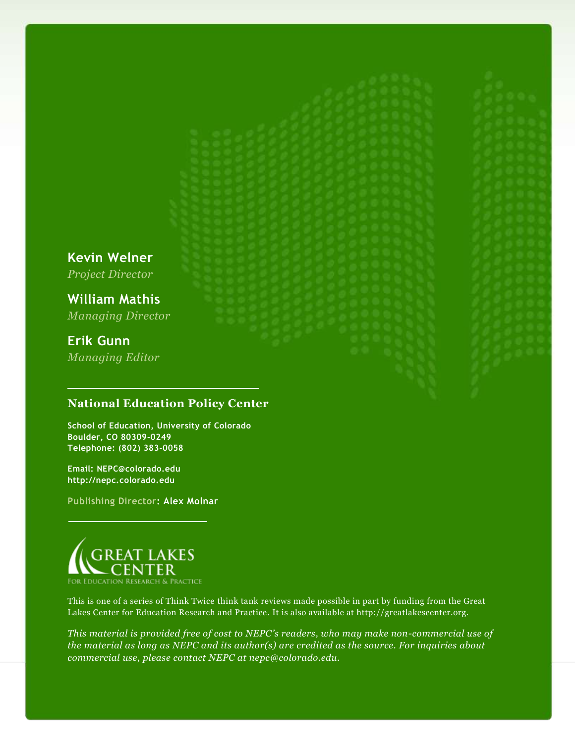**Kevin Welner** *Project Director*

**William Mathis** *Managing Director*

## **Erik Gunn**

*Managing Editor*

#### **National Education Policy Center**

**School of Education, University of Colorado Boulder, CO 80309-0249 Telephone: (802) 383-0058**

**Email: NEPC@colorado.edu http://nepc.colorado.edu**

**Publishing Director: Alex Molnar**



This is one of a series of Think Twice think tank reviews made possible in part by funding from the Great Lakes Center for Education Research and Practice. It is also available at http://greatlakescenter.org.

*This material is provided free of cost to NEPC's readers, who may make non-commercial use of the material as long as NEPC and its author(s) are credited as the source. For inquiries about commercial use, please contact NEPC at nepc@colorado.edu.*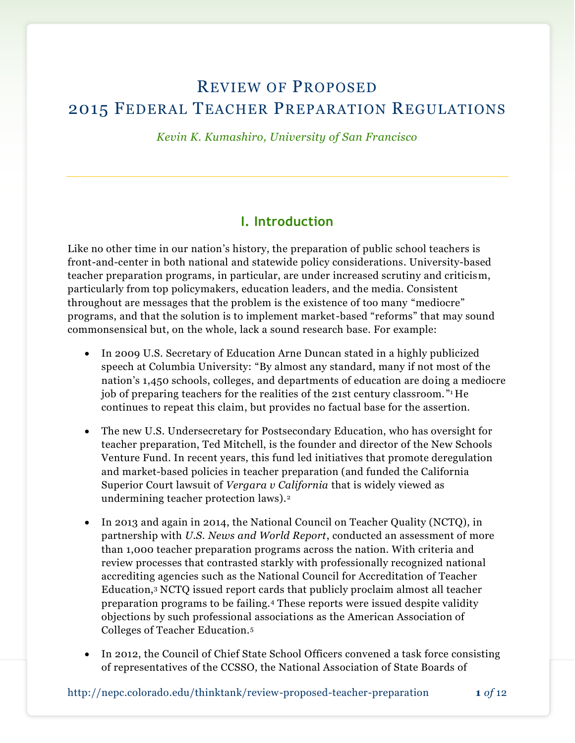## REVIEW OF PROPOSED 2015 FEDERAL TEACHER PREPARATION REGULATIONS

*Kevin K. Kumashiro, University of San Francisco*

## **I. Introduction**

Like no other time in our nation's history, the preparation of public school teachers is front-and-center in both national and statewide policy considerations. University-based teacher preparation programs, in particular, are under increased scrutiny and criticism, particularly from top policymakers, education leaders, and the media. Consistent throughout are messages that the problem is the existence of too many "mediocre" programs, and that the solution is to implement market-based "reforms" that may sound commonsensical but, on the whole, lack a sound research base. For example:

- In 2009 U.S. Secretary of Education Arne Duncan stated in a highly publicized speech at Columbia University: "By almost any standard, many if not most of the nation's 1,450 schools, colleges, and departments of education are doing a mediocre job of preparing teachers for the realities of the 21st century classroom. " <sup>1</sup> He continues to repeat this claim, but provides no factual base for the assertion.
- The new U.S. Undersecretary for Postsecondary Education, who has oversight for teacher preparation, Ted Mitchell, is the founder and director of the New Schools Venture Fund. In recent years, this fund led initiatives that promote deregulation and market-based policies in teacher preparation (and funded the California Superior Court lawsuit of *Vergara v California* that is widely viewed as undermining teacher protection laws).<sup>2</sup>
- In 2013 and again in 2014, the National Council on Teacher Quality (NCTQ), in partnership with *U.S. News and World Report*, conducted an assessment of more than 1,000 teacher preparation programs across the nation. With criteria and review processes that contrasted starkly with professionally recognized national accrediting agencies such as the National Council for Accreditation of Teacher Education,<sup>3</sup> NCTQ issued report cards that publicly proclaim almost all teacher preparation programs to be failing.<sup>4</sup> These reports were issued despite validity objections by such professional associations as the American Association of Colleges of Teacher Education.<sup>5</sup>
- In 2012, the Council of Chief State School Officers convened a task force consisting of representatives of the CCSSO, the National Association of State Boards of

http://nepc.colorado.edu/thinktank/review-proposed-teacher-preparation **1** *of* 12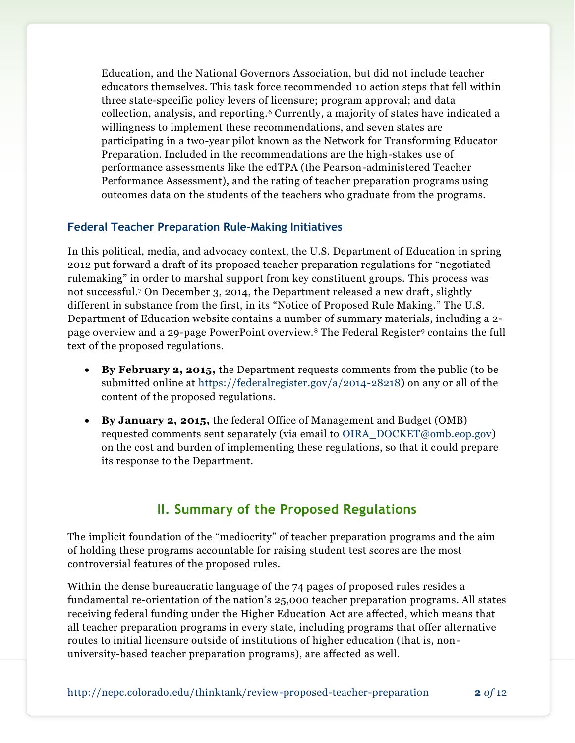Education, and the National Governors Association, but did not include teacher educators themselves. This task force recommended 10 action steps that fell within three state-specific policy levers of licensure; program approval; and data collection, analysis, and reporting.<sup>6</sup> Currently, a majority of states have indicated a willingness to implement these recommendations, and seven states are participating in a two-year pilot known as the Network for Transforming Educator Preparation. Included in the recommendations are the high-stakes use of performance assessments like the edTPA (the Pearson-administered Teacher Performance Assessment), and the rating of teacher preparation programs using outcomes data on the students of the teachers who graduate from the programs.

#### **Federal Teacher Preparation Rule-Making Initiatives**

In this political, media, and advocacy context, the U.S. Department of Education in spring 2012 put forward a draft of its proposed teacher preparation regulations for "negotiated rulemaking" in order to marshal support from key constituent groups. This process was not successful.<sup>7</sup> On December 3, 2014, the Department released a new draft, slightly different in substance from the first, in its "Notice of Proposed Rule Making." The U.S. Department of Education website contains a number of summary materials, including a 2 page overview and a 29-page PowerPoint overview.<sup>8</sup> The Federal Register<sup>9</sup> contains the full text of the proposed regulations.

- **By February 2, 2015,** the Department requests comments from the public (to be submitted online at [https://federalregister.gov/a/2014-28218\)](https://federalregister.gov/a/2014-28218) on any or all of the content of the proposed regulations.
- **By January 2, 2015,** the federal Office of Management and Budget (OMB) requested comments sent separately (via email to [OIRA\\_DOCKET@omb.eop.gov\)](mailto:OIRA_DOCKET@omb.eop.gov) on the cost and burden of implementing these regulations, so that it could prepare its response to the Department.

## **II. Summary of the Proposed Regulations**

The implicit foundation of the "mediocrity" of teacher preparation programs and the aim of holding these programs accountable for raising student test scores are the most controversial features of the proposed rules.

Within the dense bureaucratic language of the 74 pages of proposed rules resides a fundamental re-orientation of the nation's 25,000 teacher preparation programs. All states receiving federal funding under the Higher Education Act are affected, which means that all teacher preparation programs in every state, including programs that offer alternative routes to initial licensure outside of institutions of higher education (that is, nonuniversity-based teacher preparation programs), are affected as well.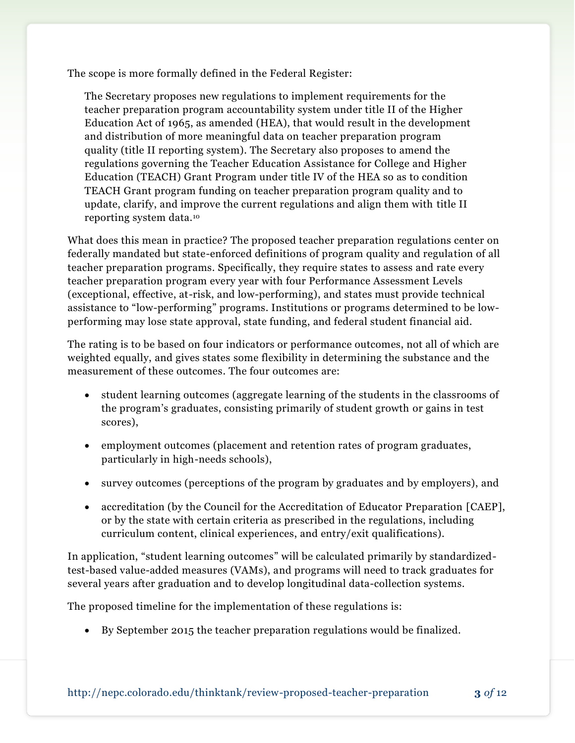The scope is more formally defined in the Federal Register:

The Secretary proposes new regulations to implement requirements for the teacher preparation program accountability system under title II of the Higher Education Act of 1965, as amended (HEA), that would result in the development and distribution of more meaningful data on teacher preparation program quality (title II reporting system). The Secretary also proposes to amend the regulations governing the Teacher Education Assistance for College and Higher Education (TEACH) Grant Program under title IV of the HEA so as to condition TEACH Grant program funding on teacher preparation program quality and to update, clarify, and improve the current regulations and align them with title II reporting system data.<sup>10</sup>

What does this mean in practice? The proposed teacher preparation regulations center on federally mandated but state-enforced definitions of program quality and regulation of all teacher preparation programs. Specifically, they require states to assess and rate every teacher preparation program every year with four Performance Assessment Levels (exceptional, effective, at-risk, and low-performing), and states must provide technical assistance to "low-performing" programs. Institutions or programs determined to be lowperforming may lose state approval, state funding, and federal student financial aid.

The rating is to be based on four indicators or performance outcomes, not all of which are weighted equally, and gives states some flexibility in determining the substance and the measurement of these outcomes. The four outcomes are:

- student learning outcomes (aggregate learning of the students in the classrooms of the program's graduates, consisting primarily of student growth or gains in test scores),
- employment outcomes (placement and retention rates of program graduates, particularly in high-needs schools),
- survey outcomes (perceptions of the program by graduates and by employers), and
- accreditation (by the Council for the Accreditation of Educator Preparation [CAEP], or by the state with certain criteria as prescribed in the regulations, including curriculum content, clinical experiences, and entry/exit qualifications).

In application, "student learning outcomes" will be calculated primarily by standardizedtest-based value-added measures (VAMs), and programs will need to track graduates for several years after graduation and to develop longitudinal data-collection systems.

The proposed timeline for the implementation of these regulations is:

By September 2015 the teacher preparation regulations would be finalized.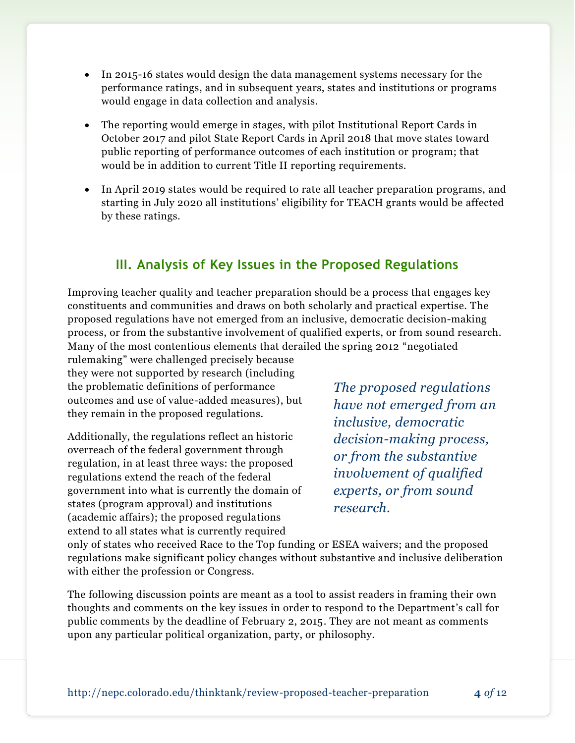- In 2015-16 states would design the data management systems necessary for the performance ratings, and in subsequent years, states and institutions or programs would engage in data collection and analysis.
- The reporting would emerge in stages, with pilot Institutional Report Cards in October 2017 and pilot State Report Cards in April 2018 that move states toward public reporting of performance outcomes of each institution or program; that would be in addition to current Title II reporting requirements.
- In April 2019 states would be required to rate all teacher preparation programs, and starting in July 2020 all institutions' eligibility for TEACH grants would be affected by these ratings.

## **III. Analysis of Key Issues in the Proposed Regulations**

Improving teacher quality and teacher preparation should be a process that engages key constituents and communities and draws on both scholarly and practical expertise. The proposed regulations have not emerged from an inclusive, democratic decision-making process, or from the substantive involvement of qualified experts, or from sound research. Many of the most contentious elements that derailed the spring 2012 "negotiated

rulemaking" were challenged precisely because they were not supported by research (including the problematic definitions of performance outcomes and use of value-added measures), but they remain in the proposed regulations.

Additionally, the regulations reflect an historic overreach of the federal government through regulation, in at least three ways: the proposed regulations extend the reach of the federal government into what is currently the domain of states (program approval) and institutions (academic affairs); the proposed regulations extend to all states what is currently required

*The proposed regulations have not emerged from an inclusive, democratic decision-making process, or from the substantive involvement of qualified experts, or from sound research.*

only of states who received Race to the Top funding or ESEA waivers; and the proposed regulations make significant policy changes without substantive and inclusive deliberation with either the profession or Congress.

The following discussion points are meant as a tool to assist readers in framing their own thoughts and comments on the key issues in order to respond to the Department's call for public comments by the deadline of February 2, 2015. They are not meant as comments upon any particular political organization, party, or philosophy.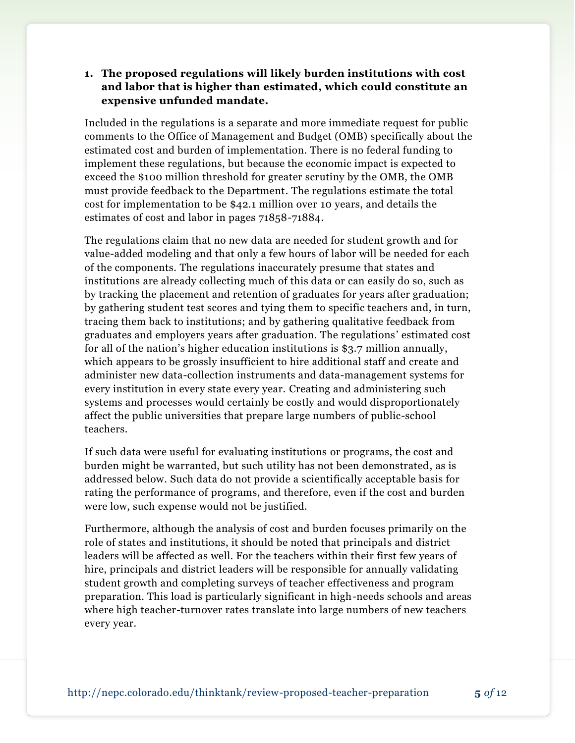#### **1. The proposed regulations will likely burden institutions with cost and labor that is higher than estimated, which could constitute an expensive unfunded mandate.**

Included in the regulations is a separate and more immediate request for public comments to the Office of Management and Budget (OMB) specifically about the estimated cost and burden of implementation. There is no federal funding to implement these regulations, but because the economic impact is expected to exceed the \$100 million threshold for greater scrutiny by the OMB, the OMB must provide feedback to the Department. The regulations estimate the total cost for implementation to be \$42.1 million over 10 years, and details the estimates of cost and labor in pages 71858-71884.

The regulations claim that no new data are needed for student growth and for value-added modeling and that only a few hours of labor will be needed for each of the components. The regulations inaccurately presume that states and institutions are already collecting much of this data or can easily do so, such as by tracking the placement and retention of graduates for years after graduation; by gathering student test scores and tying them to specific teachers and, in turn, tracing them back to institutions; and by gathering qualitative feedback from graduates and employers years after graduation. The regulations' estimated cost for all of the nation's higher education institutions is \$3.7 million annually, which appears to be grossly insufficient to hire additional staff and create and administer new data-collection instruments and data-management systems for every institution in every state every year. Creating and administering such systems and processes would certainly be costly and would disproportionately affect the public universities that prepare large numbers of public-school teachers.

If such data were useful for evaluating institutions or programs, the cost and burden might be warranted, but such utility has not been demonstrated, as is addressed below. Such data do not provide a scientifically acceptable basis for rating the performance of programs, and therefore, even if the cost and burden were low, such expense would not be justified.

Furthermore, although the analysis of cost and burden focuses primarily on the role of states and institutions, it should be noted that principals and district leaders will be affected as well. For the teachers within their first few years of hire, principals and district leaders will be responsible for annually validating student growth and completing surveys of teacher effectiveness and program preparation. This load is particularly significant in high-needs schools and areas where high teacher-turnover rates translate into large numbers of new teachers every year.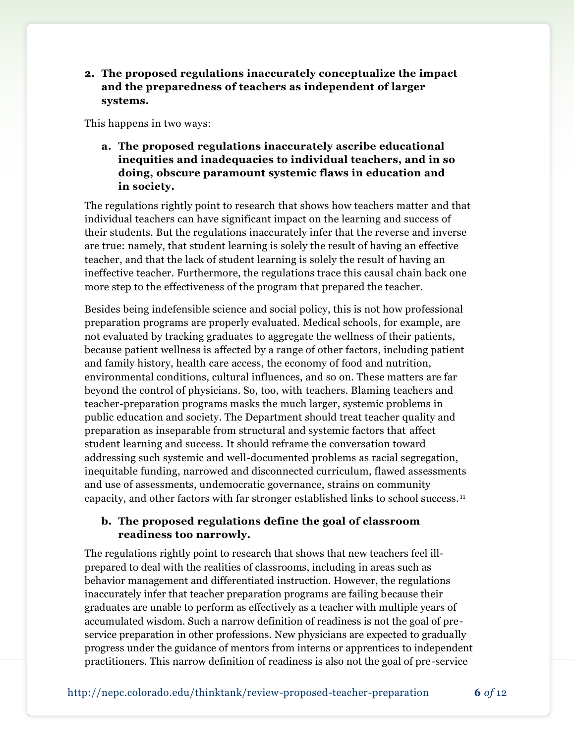**2. The proposed regulations inaccurately conceptualize the impact and the preparedness of teachers as independent of larger systems.**

This happens in two ways:

**a. The proposed regulations inaccurately ascribe educational inequities and inadequacies to individual teachers, and in so doing, obscure paramount systemic flaws in education and in society.**

The regulations rightly point to research that shows how teachers matter and that individual teachers can have significant impact on the learning and success of their students. But the regulations inaccurately infer that the reverse and inverse are true: namely, that student learning is solely the result of having an effective teacher, and that the lack of student learning is solely the result of having an ineffective teacher. Furthermore, the regulations trace this causal chain back one more step to the effectiveness of the program that prepared the teacher.

Besides being indefensible science and social policy, this is not how professional preparation programs are properly evaluated. Medical schools, for example, are not evaluated by tracking graduates to aggregate the wellness of their patients, because patient wellness is affected by a range of other factors, including patient and family history, health care access, the economy of food and nutrition, environmental conditions, cultural influences, and so on. These matters are far beyond the control of physicians. So, too, with teachers. Blaming teachers and teacher-preparation programs masks the much larger, systemic problems in public education and society. The Department should treat teacher quality and preparation as inseparable from structural and systemic factors that affect student learning and success. It should reframe the conversation toward addressing such systemic and well-documented problems as racial segregation, inequitable funding, narrowed and disconnected curriculum, flawed assessments and use of assessments, undemocratic governance, strains on community capacity, and other factors with far stronger established links to school success. <sup>11</sup>

#### **b. The proposed regulations define the goal of classroom readiness too narrowly.**

The regulations rightly point to research that shows that new teachers feel illprepared to deal with the realities of classrooms, including in areas such as behavior management and differentiated instruction. However, the regulations inaccurately infer that teacher preparation programs are failing because their graduates are unable to perform as effectively as a teacher with multiple years of accumulated wisdom. Such a narrow definition of readiness is not the goal of preservice preparation in other professions. New physicians are expected to gradually progress under the guidance of mentors from interns or apprentices to independent practitioners. This narrow definition of readiness is also not the goal of pre-service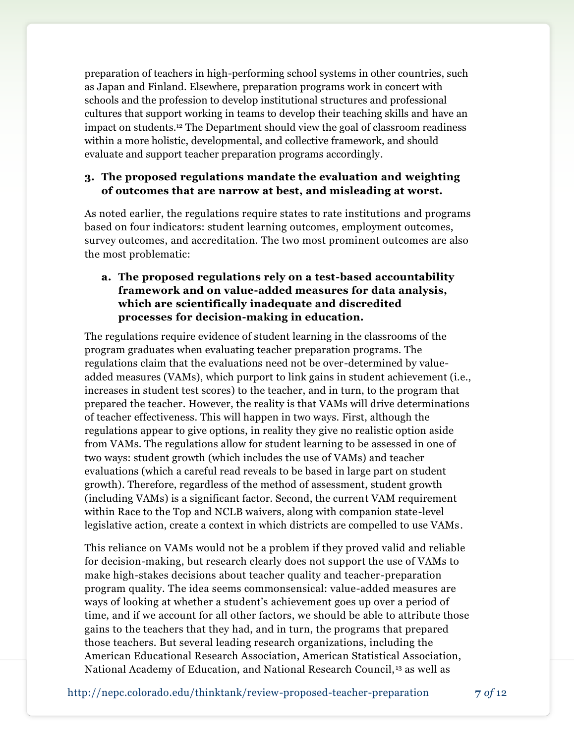preparation of teachers in high-performing school systems in other countries, such as Japan and Finland. Elsewhere, preparation programs work in concert with schools and the profession to develop institutional structures and professional cultures that support working in teams to develop their teaching skills and have an impact on students.<sup>12</sup> The Department should view the goal of classroom readiness within a more holistic, developmental, and collective framework, and should evaluate and support teacher preparation programs accordingly.

#### **3. The proposed regulations mandate the evaluation and weighting of outcomes that are narrow at best, and misleading at worst.**

As noted earlier, the regulations require states to rate institutions and programs based on four indicators: student learning outcomes, employment outcomes, survey outcomes, and accreditation. The two most prominent outcomes are also the most problematic:

### **a. The proposed regulations rely on a test-based accountability framework and on value-added measures for data analysis, which are scientifically inadequate and discredited processes for decision-making in education.**

The regulations require evidence of student learning in the classrooms of the program graduates when evaluating teacher preparation programs. The regulations claim that the evaluations need not be over-determined by valueadded measures (VAMs), which purport to link gains in student achievement (i.e., increases in student test scores) to the teacher, and in turn, to the program that prepared the teacher. However, the reality is that VAMs will drive determinations of teacher effectiveness. This will happen in two ways. First, although the regulations appear to give options, in reality they give no realistic option aside from VAMs. The regulations allow for student learning to be assessed in one of two ways: student growth (which includes the use of VAMs) and teacher evaluations (which a careful read reveals to be based in large part on student growth). Therefore, regardless of the method of assessment, student growth (including VAMs) is a significant factor. Second, the current VAM requirement within Race to the Top and NCLB waivers, along with companion state-level legislative action, create a context in which districts are compelled to use VAMs.

This reliance on VAMs would not be a problem if they proved valid and reliable for decision-making, but research clearly does not support the use of VAMs to make high-stakes decisions about teacher quality and teacher-preparation program quality. The idea seems commonsensical: value-added measures are ways of looking at whether a student's achievement goes up over a period of time, and if we account for all other factors, we should be able to attribute those gains to the teachers that they had, and in turn, the programs that prepared those teachers. But several leading research organizations, including the American Educational Research Association, American Statistical Association, National Academy of Education, and National Research Council, <sup>13</sup> as well as

http://nepc.colorado.edu/thinktank/review-proposed-teacher-preparation **7** *of* 12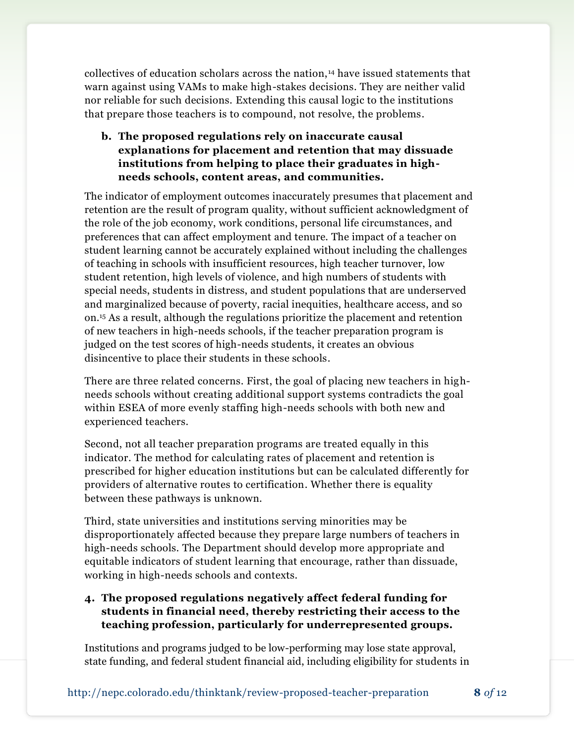collectives of education scholars across the nation, <sup>14</sup> have issued statements that warn against using VAMs to make high-stakes decisions. They are neither valid nor reliable for such decisions. Extending this causal logic to the institutions that prepare those teachers is to compound, not resolve, the problems.

### **b. The proposed regulations rely on inaccurate causal explanations for placement and retention that may dissuade institutions from helping to place their graduates in highneeds schools, content areas, and communities.**

The indicator of employment outcomes inaccurately presumes that placement and retention are the result of program quality, without sufficient acknowledgment of the role of the job economy, work conditions, personal life circumstances, and preferences that can affect employment and tenure. The impact of a teacher on student learning cannot be accurately explained without including the challenges of teaching in schools with insufficient resources, high teacher turnover, low student retention, high levels of violence, and high numbers of students with special needs, students in distress, and student populations that are underserved and marginalized because of poverty, racial inequities, healthcare access, and so on.<sup>15</sup> As a result, although the regulations prioritize the placement and retention of new teachers in high-needs schools, if the teacher preparation program is judged on the test scores of high-needs students, it creates an obvious disincentive to place their students in these schools.

There are three related concerns. First, the goal of placing new teachers in highneeds schools without creating additional support systems contradicts the goal within ESEA of more evenly staffing high-needs schools with both new and experienced teachers.

Second, not all teacher preparation programs are treated equally in this indicator. The method for calculating rates of placement and retention is prescribed for higher education institutions but can be calculated differently for providers of alternative routes to certification. Whether there is equality between these pathways is unknown.

Third, state universities and institutions serving minorities may be disproportionately affected because they prepare large numbers of teachers in high-needs schools. The Department should develop more appropriate and equitable indicators of student learning that encourage, rather than dissuade, working in high-needs schools and contexts.

#### **4. The proposed regulations negatively affect federal funding for students in financial need, thereby restricting their access to the teaching profession, particularly for underrepresented groups.**

Institutions and programs judged to be low-performing may lose state approval, state funding, and federal student financial aid, including eligibility for students in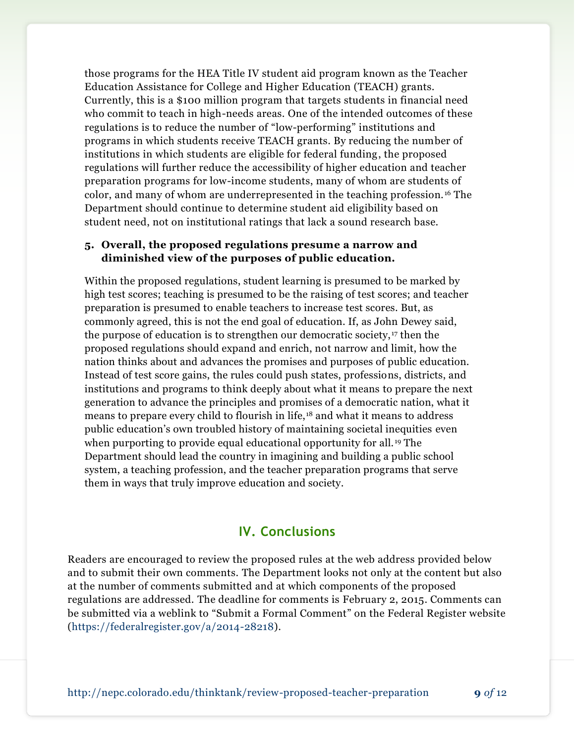those programs for the HEA Title IV student aid program known as the Teacher Education Assistance for College and Higher Education (TEACH) grants. Currently, this is a \$100 million program that targets students in financial need who commit to teach in high-needs areas. One of the intended outcomes of these regulations is to reduce the number of "low-performing" institutions and programs in which students receive TEACH grants. By reducing the number of institutions in which students are eligible for federal funding, the proposed regulations will further reduce the accessibility of higher education and teacher preparation programs for low-income students, many of whom are students of color, and many of whom are underrepresented in the teaching profession. <sup>16</sup> The Department should continue to determine student aid eligibility based on student need, not on institutional ratings that lack a sound research base.

#### **5. Overall, the proposed regulations presume a narrow and diminished view of the purposes of public education.**

Within the proposed regulations, student learning is presumed to be marked by high test scores; teaching is presumed to be the raising of test scores; and teacher preparation is presumed to enable teachers to increase test scores. But, as commonly agreed, this is not the end goal of education. If, as John Dewey said, the purpose of education is to strengthen our democratic society, <sup>17</sup> then the proposed regulations should expand and enrich, not narrow and limit, how the nation thinks about and advances the promises and purposes of public education. Instead of test score gains, the rules could push states, professions, districts, and institutions and programs to think deeply about what it means to prepare the next generation to advance the principles and promises of a democratic nation, what it means to prepare every child to flourish in life,<sup>18</sup> and what it means to address public education's own troubled history of maintaining societal inequities even when purporting to provide equal educational opportunity for all. <sup>19</sup> The Department should lead the country in imagining and building a public school system, a teaching profession, and the teacher preparation programs that serve them in ways that truly improve education and society.

### **IV. Conclusions**

Readers are encouraged to review the proposed rules at the web address provided below and to submit their own comments. The Department looks not only at the content but also at the number of comments submitted and at which components of the proposed regulations are addressed. The deadline for comments is February 2, 2015. Comments can be submitted via a weblink to "Submit a Formal Comment" on the Federal Register website [\(https://federalregister.gov/a/2014-28218\)](https://federalregister.gov/a/2014-28218).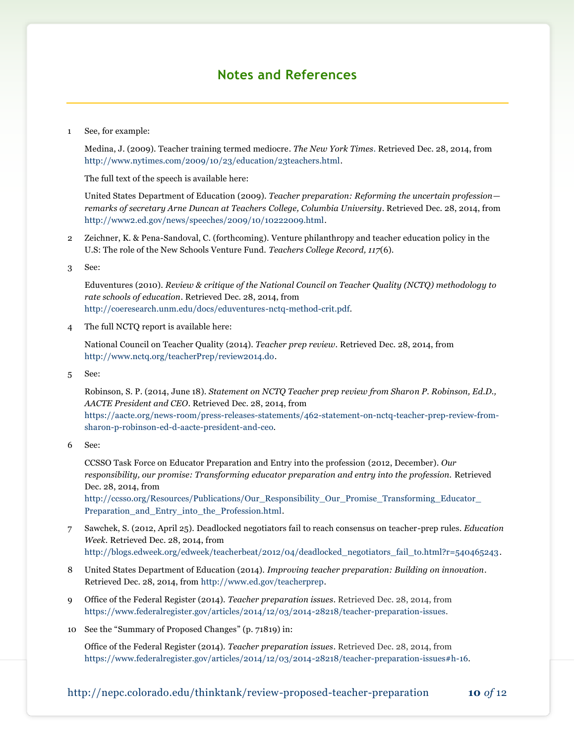## **Notes and References**

1 See, for example:

Medina, J. (2009). Teacher training termed mediocre*. The New York Times.* Retrieved Dec. 28, 2014, from [http://www.nytimes.com/2009/10/23/education/23teachers.html.](http://www.nytimes.com/2009/10/23/education/23teachers.html?_r=2&)

The full text of the speech is available here:

United States Department of Education (2009). *Teacher preparation: Reforming the uncertain profession remarks of secretary Arne Duncan at Teachers College, Columbia University*. Retrieved Dec. 28, 2014, from [http://www2.ed.gov/news/speeches/2009/10/10222009.html.](http://www2.ed.gov/news/speeches/2009/10/10222009.html)

2 Zeichner, K. & Pena-Sandoval, C. (forthcoming). Venture philanthropy and teacher education policy in the U.S: The role of the New Schools Venture Fund. *Teachers College Record, 117*(6).

3 See:

Eduventures (2010). *Review & critique of the National Council on Teacher Quality (NCTQ) methodology to rate schools of education*. Retrieved Dec. 28, 2014, from [http://coeresearch.unm.edu/docs/eduventures-nctq-method-crit.pdf.](http://coeresearch.unm.edu/docs/eduventures-nctq-method-crit.pdf)

4 The full NCTQ report is available here:

National Council on Teacher Quality (2014). *Teacher prep review*. Retrieved Dec. 28, 2014, from [http://www.nctq.org/teacherPrep/review2014.do.](http://www.nctq.org/teacherPrep/review2014.do)

5 See:

Robinson, S. P. (2014, June 18). *Statement on NCTQ Teacher prep review from Sharon P. Robinson, Ed.D., AACTE President and CEO*. Retrieved Dec. 28, 2014, from [https://aacte.org/news-room/press-releases-statements/462-statement-on-nctq-teacher-prep-review-from](https://aacte.org/news-room/press-releases-statements/462-statement-on-nctq-teacher-prep-review-from-sharon-p-robinson-ed-d-aacte-president-and-ceo)[sharon-p-robinson-ed-d-aacte-president-and-ceo.](https://aacte.org/news-room/press-releases-statements/462-statement-on-nctq-teacher-prep-review-from-sharon-p-robinson-ed-d-aacte-president-and-ceo)

6 See:

CCSSO Task Force on Educator Preparation and Entry into the profession (2012, December). *Our responsibility, our promise: Transforming educator preparation and entry into the profession.* Retrieved Dec. 28, 2014, from

[http://ccsso.org/Resources/Publications/Our\\_Responsibility\\_Our\\_Promise\\_Transforming\\_Educator\\_](http://ccsso.org/Resources/Publications/Our_Responsibility_Our_Promise_Transforming_Educator_Preparation_and_Entry_into_the_Profession.html) [Preparation\\_and\\_Entry\\_into\\_the\\_Profession.html.](http://ccsso.org/Resources/Publications/Our_Responsibility_Our_Promise_Transforming_Educator_Preparation_and_Entry_into_the_Profession.html)

- 7 Sawchek, S. (2012, April 25). Deadlocked negotiators fail to reach consensus on teacher-prep rules. *Education Week.* Retrieved Dec. 28, 2014, from [http://blogs.edweek.org/edweek/teacherbeat/2012/04/deadlocked\\_negotiators\\_fail\\_to.html?r=540465243.](http://blogs.edweek.org/edweek/teacherbeat/2012/04/deadlocked_negotiators_fail_to.html?r=540465243)
- 8 United States Department of Education (2014). *Improving teacher preparation: Building on innovation*. Retrieved Dec. 28, 2014, from [http://www.ed.gov/teacherprep.](http://www.ed.gov/teacherprep)
- 9 Office of the Federal Register (2014). *Teacher preparation issues*. Retrieved Dec. 28, 2014, from [https://www.federalregister.gov/articles/2014/12/03/2014-28218/teacher-preparation-issues.](https://www.federalregister.gov/articles/2014/12/03/2014-28218/teacher-preparation-issues)
- 10 See the "Summary of Proposed Changes" (p. 71819) in:

Office of the Federal Register (2014). *Teacher preparation issues*. Retrieved Dec. 28, 2014, from [https://www.federalregister.gov/articles/2014/12/03/2014-28218/teacher-preparation-issues#h-16.](https://www.federalregister.gov/articles/2014/12/03/2014-28218/teacher-preparation-issues#h-16)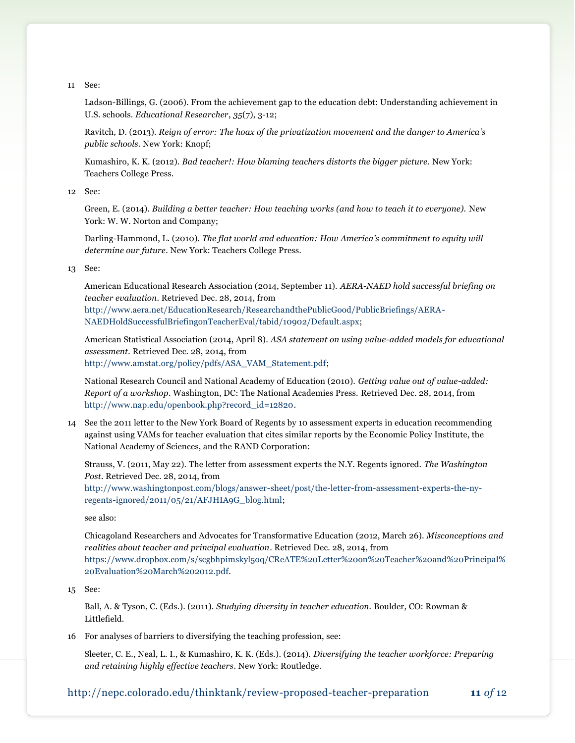11 See:

Ladson-Billings, G. (2006). From the achievement gap to the education debt: Understanding achievement in U.S. schools. *Educational Researcher*, *35*(7), 3-12;

Ravitch, D. (2013). *Reign of error: The hoax of the privatization movement and the danger to America's public schools.* New York: Knopf;

Kumashiro, K. K. (2012). *Bad teacher!: How blaming teachers distorts the bigger picture.* New York: Teachers College Press.

12 See:

Green, E. (2014). *Building a better teacher: How teaching works (and how to teach it to everyone).* New York: W. W. Norton and Company;

Darling-Hammond, L. (2010). *The flat world and education: How America's commitment to equity will determine our future*. New York: Teachers College Press.

#### 13 See:

American Educational Research Association (2014, September 11). *AERA-NAED hold successful briefing on teacher evaluation*. Retrieved Dec. 28, 2014, from

[http://www.aera.net/EducationResearch/ResearchandthePublicGood/PublicBriefings/AERA-](http://www.aera.net/EducationResearch/ResearchandthePublicGood/PublicBriefings/AERA-NAEDHoldSuccessfulBriefingonTeacherEval/tabid/10902/Default.aspx)[NAEDHoldSuccessfulBriefingonTeacherEval/tabid/10902/Default.aspx;](http://www.aera.net/EducationResearch/ResearchandthePublicGood/PublicBriefings/AERA-NAEDHoldSuccessfulBriefingonTeacherEval/tabid/10902/Default.aspx)

American Statistical Association (2014, April 8). *ASA statement on using value-added models for educational assessment.* Retrieved Dec. 28, 2014, from [http://www.amstat.org/policy/pdfs/ASA\\_VAM\\_Statement.pdf;](http://www.amstat.org/policy/pdfs/ASA_VAM_Statement.pdf)

National Research Council and National Academy of Education (2010). *Getting value out of value-added: Report of a workshop*. Washington, DC: The National Academies Press. Retrieved Dec. 28, 2014, from [http://www.nap.edu/openbook.php?record\\_id=12820.](http://www.nap.edu/openbook.php?record_id=12820)

14 See the 2011 letter to the New York Board of Regents by 10 assessment experts in education recommending against using VAMs for teacher evaluation that cites similar reports by the Economic Policy Institute, the National Academy of Sciences, and the RAND Corporation:

Strauss, V. (2011, May 22). The letter from assessment experts the N.Y. Regents ignored. *The Washington Post*. Retrieved Dec. 28, 2014, from

[http://www.washingtonpost.com/blogs/answer-sheet/post/the-letter-from-assessment-experts-the-ny](http://www.washingtonpost.com/blogs/answer-sheet/post/the-letter-from-assessment-experts-the-ny-regents-ignored/2011/05/21/AFJHIA9G_blog.html)[regents-ignored/2011/05/21/AFJHIA9G\\_blog.html;](http://www.washingtonpost.com/blogs/answer-sheet/post/the-letter-from-assessment-experts-the-ny-regents-ignored/2011/05/21/AFJHIA9G_blog.html)

see also:

Chicagoland Researchers and Advocates for Transformative Education (2012, March 26). *Misconceptions and realities about teacher and principal evaluation*. Retrieved Dec. 28, 2014, from [https://www.dropbox.com/s/scgbhpimskyl5oq/CReATE%20Letter%20on%20Teacher%20and%20Principal%](https://www.dropbox.com/s/scgbhpimskyl5oq/CReATE%20Letter%20on%20Teacher%20and%20Principal%20Evaluation%20March%202012.pdf) [20Evaluation%20March%202012.pdf.](https://www.dropbox.com/s/scgbhpimskyl5oq/CReATE%20Letter%20on%20Teacher%20and%20Principal%20Evaluation%20March%202012.pdf)

#### 15 See:

Ball, A. & Tyson, C. (Eds.). (2011). *Studying diversity in teacher education.* Boulder, CO: Rowman & Littlefield.

16 For analyses of barriers to diversifying the teaching profession, see:

Sleeter, C. E., Neal, L. I., & Kumashiro, K. K. (Eds.). (2014). *Diversifying the teacher workforce: Preparing and retaining highly effective teachers*. New York: Routledge.

http://nepc.colorado.edu/thinktank/review-proposed-teacher-preparation **11** *of* 12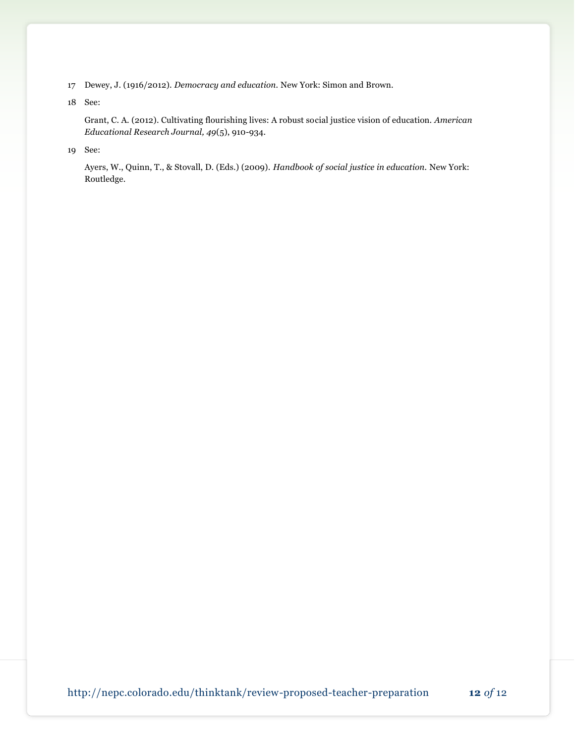- 17 Dewey, J. (1916/2012). *Democracy and education.* New York: Simon and Brown.
- 18 See:

Grant, C. A. (2012). Cultivating flourishing lives: A robust social justice vision of education. *American Educational Research Journal, 49*(5), 910-934.

19 See:

Ayers, W., Quinn, T., & Stovall, D. (Eds.) (2009). *Handbook of social justice in education.* New York: Routledge.